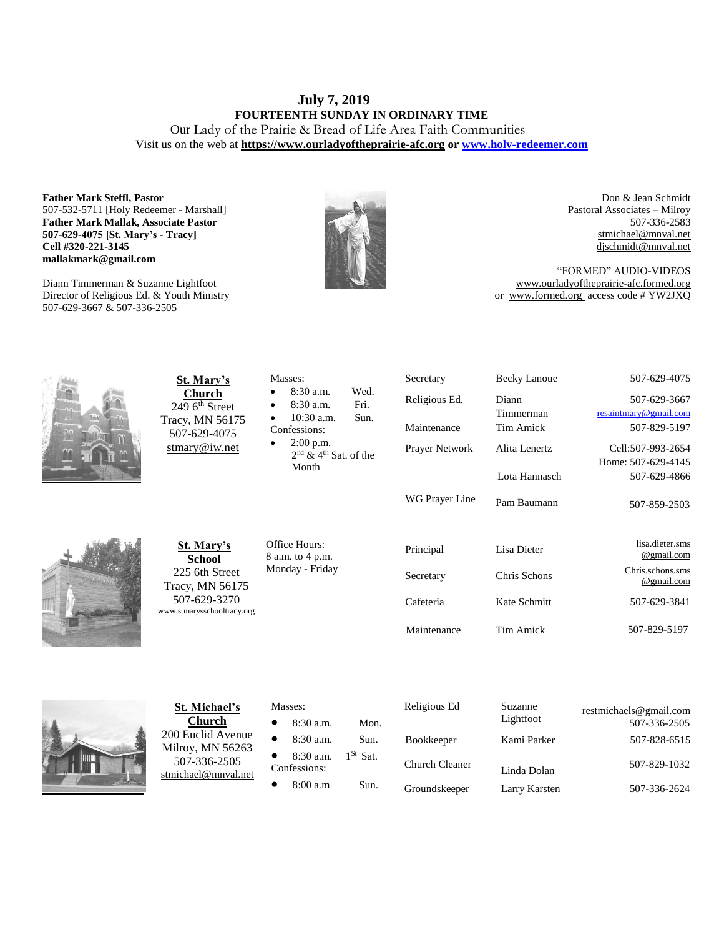# **July 7, 2019 FOURTEENTH SUNDAY IN ORDINARY TIME** Our Lady of the Prairie & Bread of Life Area Faith Communities

Visit us on the web at **https:/[/www.ourladyoftheprairie-afc.org](http://www.ourladyoftheprairie-afc.org/) o[r www.holy-redeemer.com](http://www.holy-redeemer.com/)**

### **Father Mark Steffl, Pastor** 507-532-5711 [Holy Redeemer - Marshall] **Father Mark Mallak, Associate Pastor 507-629-4075 [St. Mary's - Tracy] Cell #320-221-3145 mallakmark@gmail.com**

Diann Timmerman & Suzanne Lightfoot Director of Religious Ed. & Youth Ministry 507-629-3667 & 507-336-2505



Don & Jean Schmidt Pastoral Associates – Milroy 507-336-2583 [stmichael@mnval.net](mailto:stmichael@means.net) [djschmidt@mnval.net](mailto:djschmidt@mnval.net)

"FORMED" AUDIO-VIDEOS [www.ourladyoftheprairie-afc.formed.org](http://www.ourladyoftheprairie-afc.formed.org/) or www.formed.org access code # YW2JXQ

|                                                | St. Mary's                                                                                                            | Masses:                                              | Secretary             | <b>Becky Lanoue</b>  | 507-629-4075                           |
|------------------------------------------------|-----------------------------------------------------------------------------------------------------------------------|------------------------------------------------------|-----------------------|----------------------|----------------------------------------|
| $\mathbf{1}$<br>$\mathbb{Z}$<br>$\mathbb{C}^n$ | <b>Church</b><br>249 6 <sup>th</sup> Street<br>Tracy, MN 56175<br>507-629-4075<br>$\frac{\text{stmary@iw.net}}{}$     | Wed.<br>8:30 a.m.<br>Fri.<br>8:30 a.m.               | Religious Ed.         | Diann                | 507-629-3667                           |
|                                                |                                                                                                                       | 10:30 a.m.<br>Sun.                                   |                       | Timmerman            | resaintmary@gmail.com                  |
|                                                |                                                                                                                       | Confessions:                                         | Maintenance           | <b>Tim Amick</b>     | 507-829-5197                           |
|                                                |                                                                                                                       | $2:00$ p.m.<br>$2nd$ & 4 <sup>th</sup> Sat, of the   | Prayer Network        | Alita Lenertz        | Cell:507-993-2654                      |
|                                                |                                                                                                                       | Month                                                |                       |                      | Home: 507-629-4145                     |
|                                                |                                                                                                                       |                                                      |                       | Lota Hannasch        | 507-629-4866                           |
|                                                |                                                                                                                       |                                                      | WG Prayer Line        | Pam Baumann          | 507-859-2503                           |
|                                                | <b>St. Mary's</b><br><b>School</b><br>225 6th Street<br>Tracy, MN 56175<br>507-629-3270<br>www.stmarysschooltracy.org | Office Hours:<br>8 a.m. to 4 p.m.<br>Monday - Friday | Principal             | Lisa Dieter          | lisa.dieter.sms<br>@gmail.com          |
|                                                |                                                                                                                       |                                                      | Secretary             | Chris Schons         | Chris.schons.sms<br>@gmail.com         |
|                                                |                                                                                                                       |                                                      | Cafeteria             | Kate Schmitt         | 507-629-3841                           |
|                                                |                                                                                                                       |                                                      | Maintenance           | <b>Tim Amick</b>     | 507-829-5197                           |
|                                                |                                                                                                                       |                                                      |                       |                      |                                        |
|                                                | St. Michael's<br><b>Church</b><br>200 Euclid Avenue<br>Milroy, MN 56263<br>507-336-2505<br>stmichael@mnval.net        | Masses:<br>8:30 a.m.<br>Mon.                         | Religious Ed          | Suzanne<br>Lightfoot | restmichaels@gmail.com<br>507-336-2505 |
|                                                |                                                                                                                       | 8:30 a.m.<br>Sun.                                    | Bookkeeper            | Kami Parker          | 507-828-6515                           |
|                                                |                                                                                                                       | $1^{St}$ Sat.<br>8:30 a.m.<br>Confessions:           | <b>Church Cleaner</b> | Linda Dolan          | 507-829-1032                           |
|                                                |                                                                                                                       | 8:00 a.m<br>Sun.                                     | Groundskeeper         | Larry Karsten        | 507-336-2624                           |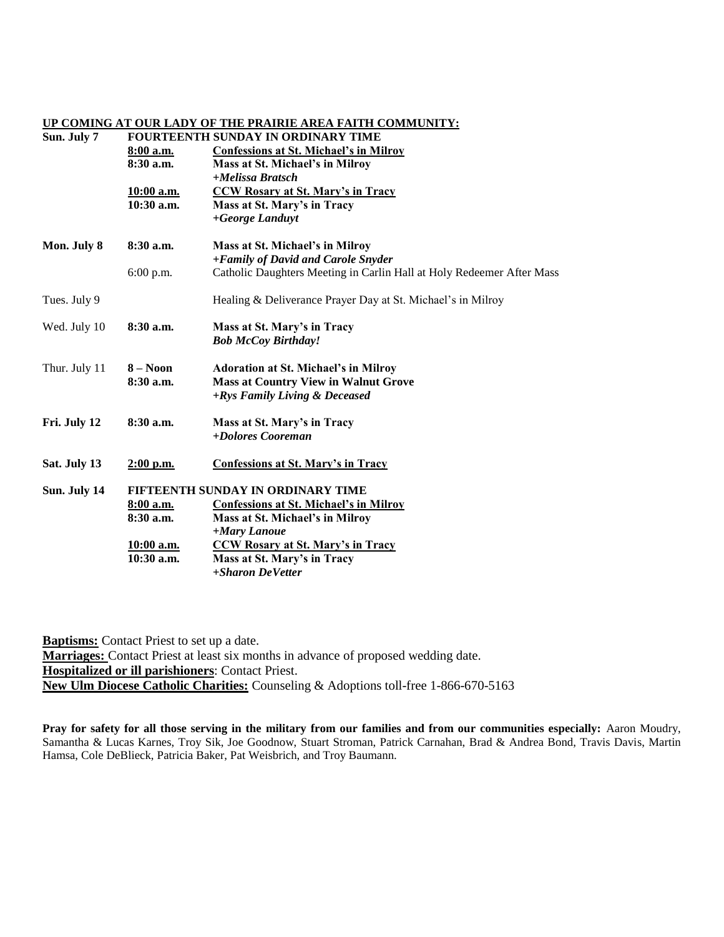### **UP COMING AT OUR LADY OF THE PRAIRIE AREA FAITH COMMUNITY:**

# **Sun. July 7 FOURTEENTH SUNDAY IN ORDINARY TIME**

|               | 8:00 a.m.<br>$8:30$ a.m.<br>$10:00$ a.m.<br>$10:30$ a.m. | <b>Confessions at St. Michael's in Milroy</b><br>Mass at St. Michael's in Milroy<br>+Melissa Bratsch<br><b>CCW Rosary at St. Mary's in Tracy</b><br>Mass at St. Mary's in Tracy<br>+George Landuyt |  |  |
|---------------|----------------------------------------------------------|----------------------------------------------------------------------------------------------------------------------------------------------------------------------------------------------------|--|--|
| Mon. July 8   | $8:30$ a.m.                                              | Mass at St. Michael's in Milroy<br>+Family of David and Carole Snyder                                                                                                                              |  |  |
|               | 6:00 p.m.                                                | Catholic Daughters Meeting in Carlin Hall at Holy Redeemer After Mass                                                                                                                              |  |  |
| Tues. July 9  |                                                          | Healing & Deliverance Prayer Day at St. Michael's in Milroy                                                                                                                                        |  |  |
| Wed. July 10  | $8:30$ a.m.                                              | Mass at St. Mary's in Tracy<br><b>Bob McCoy Birthday!</b>                                                                                                                                          |  |  |
| Thur. July 11 | $8 - N00n$<br>$8:30$ a.m.                                | <b>Adoration at St. Michael's in Milroy</b><br><b>Mass at Country View in Walnut Grove</b><br>+Rys Family Living & Deceased                                                                        |  |  |
| Fri. July 12  | 8:30 a.m.                                                | Mass at St. Mary's in Tracy<br>+Dolores Cooreman                                                                                                                                                   |  |  |
| Sat. July 13  | $2:00$ p.m.                                              | <b>Confessions at St. Mary's in Tracy</b>                                                                                                                                                          |  |  |
| Sun. July 14  | FIFTEENTH SUNDAY IN ORDINARY TIME                        |                                                                                                                                                                                                    |  |  |
|               | 8:00 a.m.                                                | <b>Confessions at St. Michael's in Milroy</b>                                                                                                                                                      |  |  |
|               | $8:30$ a.m.                                              | Mass at St. Michael's in Milroy<br>+Mary Lanoue                                                                                                                                                    |  |  |
|               | 10:00 a.m.                                               | <b>CCW Rosary at St. Mary's in Tracy</b>                                                                                                                                                           |  |  |
|               | $10:30$ a.m.                                             | Mass at St. Mary's in Tracy                                                                                                                                                                        |  |  |
|               |                                                          | +Sharon DeVetter                                                                                                                                                                                   |  |  |

**Baptisms:** Contact Priest to set up a date. **Marriages:** Contact Priest at least six months in advance of proposed wedding date. **Hospitalized or ill parishioners**: Contact Priest. **New Ulm Diocese Catholic Charities:** Counseling & Adoptions toll-free 1-866-670-5163

**Pray for safety for all those serving in the military from our families and from our communities especially:** Aaron Moudry, Samantha & Lucas Karnes, Troy Sik, Joe Goodnow, Stuart Stroman, Patrick Carnahan, Brad & Andrea Bond, Travis Davis, Martin Hamsa, Cole DeBlieck, Patricia Baker, Pat Weisbrich, and Troy Baumann.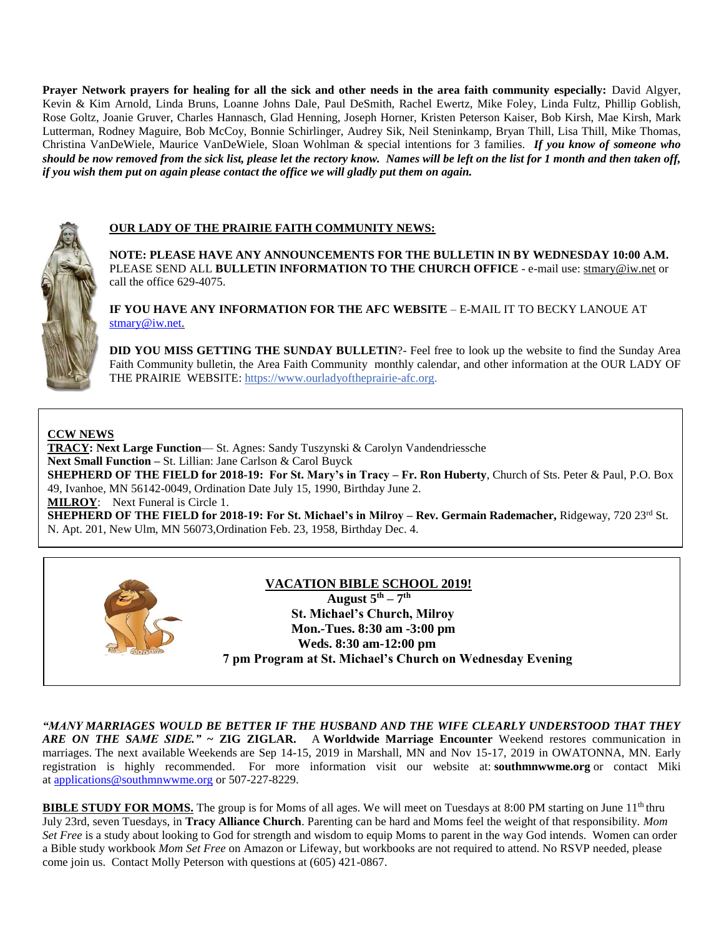**Prayer Network prayers for healing for all the sick and other needs in the area faith community especially:** David Algyer, Kevin & Kim Arnold, Linda Bruns, Loanne Johns Dale, Paul DeSmith, Rachel Ewertz, Mike Foley, Linda Fultz, Phillip Goblish, Rose Goltz, Joanie Gruver, Charles Hannasch, Glad Henning, Joseph Horner, Kristen Peterson Kaiser, Bob Kirsh, Mae Kirsh, Mark Lutterman, Rodney Maguire, Bob McCoy, Bonnie Schirlinger, Audrey Sik, Neil Steninkamp, Bryan Thill, Lisa Thill, Mike Thomas, Christina VanDeWiele, Maurice VanDeWiele, Sloan Wohlman & special intentions for 3 families. *If you know of someone who should be now removed from the sick list, please let the rectory know. Names will be left on the list for 1 month and then taken off, if you wish them put on again please contact the office we will gladly put them on again.*



### **OUR LADY OF THE PRAIRIE FAITH COMMUNITY NEWS:**

**NOTE: PLEASE HAVE ANY ANNOUNCEMENTS FOR THE BULLETIN IN BY WEDNESDAY 10:00 A.M.** PLEASE SEND ALL **BULLETIN INFORMATION TO THE CHURCH OFFICE** - e-mail use[: stmary@iw.net](mailto:stmary@iw.net) or call the office 629-4075.

**IF YOU HAVE ANY INFORMATION FOR THE AFC WEBSITE** – E-MAIL IT TO BECKY LANOUE AT [stmary@iw.net.](mailto:stmary@iw.net)

**DID YOU MISS GETTING THE SUNDAY BULLETIN**?- Feel free to look up the website to find the Sunday Area Faith Community bulletin, the Area Faith Community monthly calendar, and other information at the OUR LADY OF THE PRAIRIE WEBSITE: https:/[/www.ourladyoftheprairie-afc.org.](http://www.ourladyoftheprairie-afc.org/)

### **CCW NEWS**

**TRACY: Next Large Function**— St. Agnes: Sandy Tuszynski & Carolyn Vandendriessche **Next Small Function –** St. Lillian: Jane Carlson & Carol Buyck **SHEPHERD OF THE FIELD for 2018-19: For St. Mary's in Tracy – Fr. Ron Huberty**, Church of Sts. Peter & Paul, P.O. Box 49, Ivanhoe, MN 56142-0049, Ordination Date July 15, 1990, Birthday June 2. **MILROY**: Next Funeral is Circle 1. **SHEPHERD OF THE FIELD for 2018-19: For St. Michael's in Milroy – Rev. Germain Rademacher, Ridgeway, 720 23<sup>rd</sup> St.** N. Apt. 201, New Ulm, MN 56073,Ordination Feb. 23, 1958, Birthday Dec. 4.



### **VACATION BIBLE SCHOOL 2019!**

 **August 5th – 7 th St. Michael's Church, Milroy Mon.-Tues. 8:30 am -3:00 pm Weds. 8:30 am-12:00 pm 7 pm Program at St. Michael's Church on Wednesday Evening**

*"MANY MARRIAGES WOULD BE BETTER IF THE HUSBAND AND THE WIFE CLEARLY UNDERSTOOD THAT THEY ARE ON THE SAME SIDE."* **~ ZIG ZIGLAR.** A **Worldwide Marriage Encounter** Weekend restores communication in marriages. The next available Weekends are Sep 14-15, 2019 in Marshall, MN and Nov 15-17, 2019 in OWATONNA, MN. Early registration is highly recommended. For more information visit our website at: **southmnwwme.org** or contact Miki at [applications@southmnwwme.org](mailto:wmandbethnickles@hotmail.com) or 507-227-8229.

**BIBLE STUDY FOR MOMS.** The group is for Moms of all ages. We will meet on Tuesdays at 8:00 PM starting on June 11<sup>th</sup> thru July 23rd, seven Tuesdays, in **Tracy Alliance Church**. Parenting can be hard and Moms feel the weight of that responsibility. *Mom Set Free* is a study about looking to God for strength and wisdom to equip Moms to parent in the way God intends. Women can order a Bible study workbook *Mom Set Free* on Amazon or Lifeway, but workbooks are not required to attend. No RSVP needed, please come join us. Contact Molly Peterson with questions at (605) 421-0867.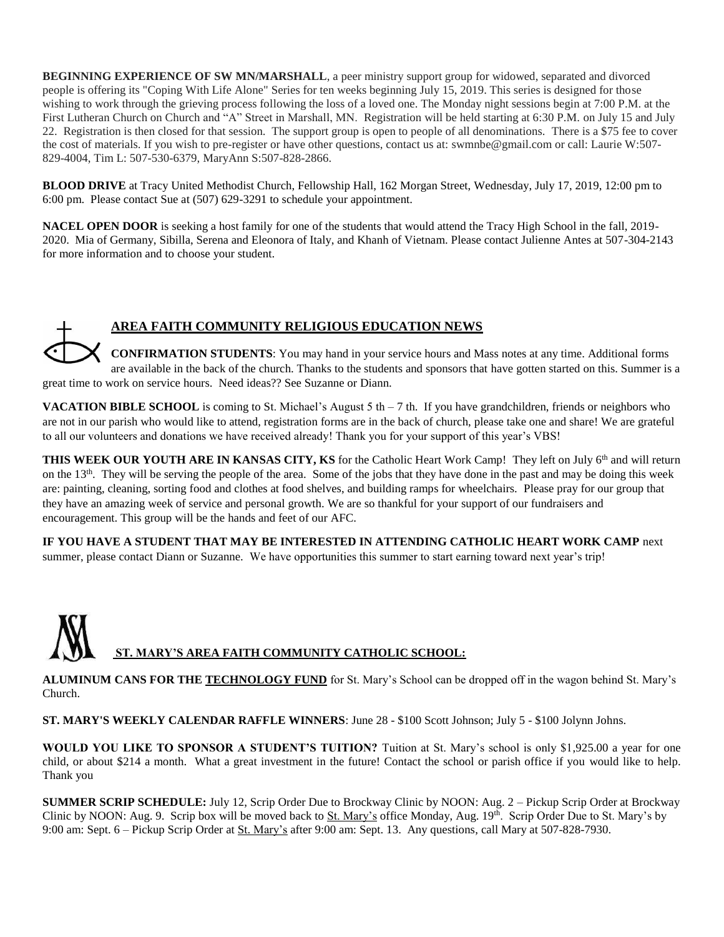**BEGINNING EXPERIENCE OF SW MN/MARSHALL**, a peer ministry support group for widowed, separated and divorced people is offering its "Coping With Life Alone" Series for ten weeks beginning July 15, 2019. This series is designed for those wishing to work through the grieving process following the loss of a loved one. The Monday night sessions begin at 7:00 P.M. at the First Lutheran Church on Church and "A" Street in Marshall, MN. Registration will be held starting at 6:30 P.M. on July 15 and July 22. Registration is then closed for that session. The support group is open to people of all denominations. There is a \$75 fee to cover the cost of materials. If you wish to pre-register or have other questions, contact us at: swmnbe@gmail.com or call: Laurie W:507- 829-4004, Tim L: 507-530-6379, MaryAnn S:507-828-2866.

**BLOOD DRIVE** at Tracy United Methodist Church, Fellowship Hall, 162 Morgan Street, Wednesday, July 17, 2019, 12:00 pm to 6:00 pm. Please contact Sue at (507) 629-3291 to schedule your appointment.

**NACEL OPEN DOOR** is seeking a host family for one of the students that would attend the Tracy High School in the fall, 2019- 2020. Mia of Germany, Sibilla, Serena and Eleonora of Italy, and Khanh of Vietnam. Please contact Julienne Antes at 507-304-2143 for more information and to choose your student.

# **AREA FAITH COMMUNITY RELIGIOUS EDUCATION NEWS**

**CONFIRMATION STUDENTS**: You may hand in your service hours and Mass notes at any time. Additional forms are available in the back of the church. Thanks to the students and sponsors that have gotten started on this. Summer is a great time to work on service hours. Need ideas?? See Suzanne or Diann.

**VACATION BIBLE SCHOOL** is coming to St. Michael's August 5 th  $-7$  th. If you have grandchildren, friends or neighbors who are not in our parish who would like to attend, registration forms are in the back of church, please take one and share! We are grateful to all our volunteers and donations we have received already! Thank you for your support of this year's VBS!

**THIS WEEK OUR YOUTH ARE IN KANSAS CITY, KS** for the Catholic Heart Work Camp! They left on July 6<sup>th</sup> and will return on the  $13<sup>th</sup>$ . They will be serving the people of the area. Some of the jobs that they have done in the past and may be doing this week are: painting, cleaning, sorting food and clothes at food shelves, and building ramps for wheelchairs. Please pray for our group that they have an amazing week of service and personal growth. We are so thankful for your support of our fundraisers and encouragement. This group will be the hands and feet of our AFC.

**IF YOU HAVE A STUDENT THAT MAY BE INTERESTED IN ATTENDING CATHOLIC HEART WORK CAMP** next summer, please contact Diann or Suzanne. We have opportunities this summer to start earning toward next year's trip!

# **ST. MARY'S AREA FAITH COMMUNITY CATHOLIC SCHOOL:**

**ALUMINUM CANS FOR THE TECHNOLOGY FUND** for St. Mary's School can be dropped off in the wagon behind St. Mary's Church.

**ST. MARY'S WEEKLY CALENDAR RAFFLE WINNERS**: June 28 - \$100 Scott Johnson; July 5 - \$100 Jolynn Johns.

**WOULD YOU LIKE TO SPONSOR A STUDENT'S TUITION?** Tuition at St. Mary's school is only \$1,925.00 a year for one child, or about \$214 a month. What a great investment in the future! Contact the school or parish office if you would like to help. Thank you

**SUMMER SCRIP SCHEDULE:** July 12, Scrip Order Due to Brockway Clinic by NOON: Aug. 2 – Pickup Scrip Order at Brockway Clinic by NOON: Aug. 9. Scrip box will be moved back to St. Mary's office Monday, Aug. 19th. Scrip Order Due to St. Mary's by 9:00 am: Sept. 6 – Pickup Scrip Order at St. Mary's after 9:00 am: Sept. 13. Any questions, call Mary at 507-828-7930.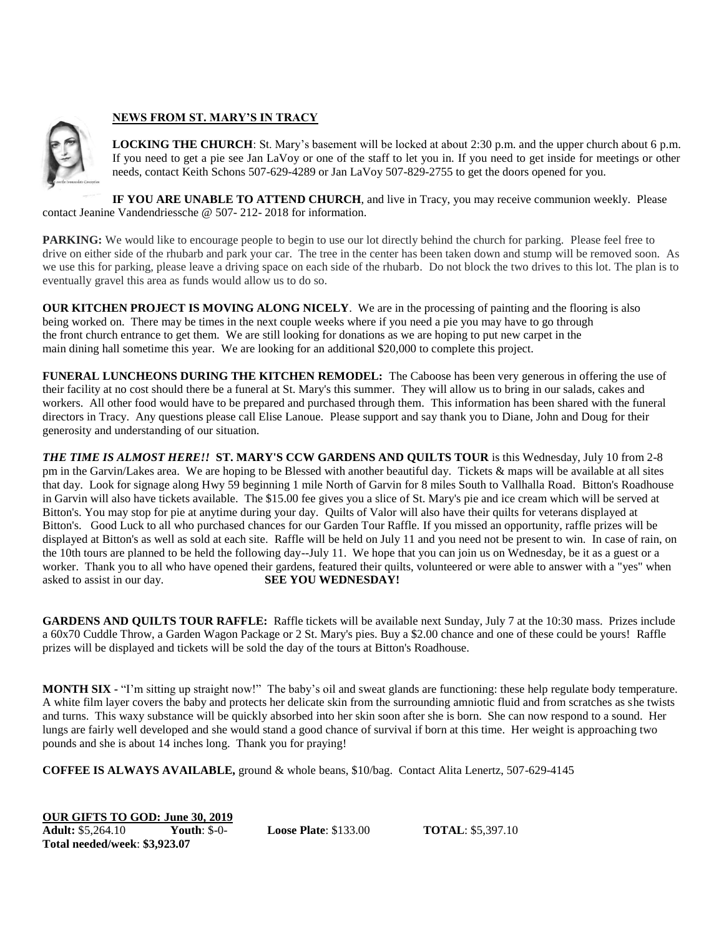### **NEWS FROM ST. MARY'S IN TRACY**

**LOCKING THE CHURCH**: St. Mary's basement will be locked at about 2:30 p.m. and the upper church about 6 p.m. If you need to get a pie see Jan LaVoy or one of the staff to let you in. If you need to get inside for meetings or other needs, contact Keith Schons 507-629-4289 or Jan LaVoy 507-829-2755 to get the doors opened for you.

**IF YOU ARE UNABLE TO ATTEND CHURCH**, and live in Tracy, you may receive communion weekly. Please contact Jeanine Vandendriessche @ 507- 212- 2018 for information.

**PARKING:** We would like to encourage people to begin to use our lot directly behind the church for parking. Please feel free to drive on either side of the rhubarb and park your car. The tree in the center has been taken down and stump will be removed soon. As we use this for parking, please leave a driving space on each side of the rhubarb. Do not block the two drives to this lot. The plan is to eventually gravel this area as funds would allow us to do so.

**OUR KITCHEN PROJECT IS MOVING ALONG NICELY**. We are in the processing of painting and the flooring is also being worked on. There may be times in the next couple weeks where if you need a pie you may have to go through the front church entrance to get them. We are still looking for donations as we are hoping to put new carpet in the main dining hall sometime this year. We are looking for an additional \$20,000 to complete this project.

**FUNERAL LUNCHEONS DURING THE KITCHEN REMODEL:** The Caboose has been very generous in offering the use of their facility at no cost should there be a funeral at St. Mary's this summer. They will allow us to bring in our salads, cakes and workers. All other food would have to be prepared and purchased through them. This information has been shared with the funeral directors in Tracy. Any questions please call Elise Lanoue. Please support and say thank you to Diane, John and Doug for their generosity and understanding of our situation.

*THE TIME IS ALMOST HERE!!* **ST. MARY'S CCW GARDENS AND QUILTS TOUR** is this Wednesday, July 10 from 2-8 pm in the Garvin/Lakes area. We are hoping to be Blessed with another beautiful day. Tickets & maps will be available at all sites that day. Look for signage along Hwy 59 beginning 1 mile North of Garvin for 8 miles South to Vallhalla Road. Bitton's Roadhouse in Garvin will also have tickets available. The \$15.00 fee gives you a slice of St. Mary's pie and ice cream which will be served at Bitton's. You may stop for pie at anytime during your day. Quilts of Valor will also have their quilts for veterans displayed at Bitton's. Good Luck to all who purchased chances for our Garden Tour Raffle. If you missed an opportunity, raffle prizes will be displayed at Bitton's as well as sold at each site. Raffle will be held on July 11 and you need not be present to win. In case of rain, on the 10th tours are planned to be held the following day--July 11. We hope that you can join us on Wednesday, be it as a guest or a worker. Thank you to all who have opened their gardens, featured their quilts, volunteered or were able to answer with a "yes" when asked to assist in our day. **SEE YOU WEDNESDAY!**

**GARDENS AND QUILTS TOUR RAFFLE:** Raffle tickets will be available next Sunday, July 7 at the 10:30 mass. Prizes include a 60x70 Cuddle Throw, a Garden Wagon Package or 2 St. Mary's pies. Buy a \$2.00 chance and one of these could be yours! Raffle prizes will be displayed and tickets will be sold the day of the tours at Bitton's Roadhouse.

**MONTH SIX -** "I'm sitting up straight now!" The baby's oil and sweat glands are functioning: these help regulate body temperature. A white film layer covers the baby and protects her delicate skin from the surrounding amniotic fluid and from scratches as she twists and turns. This waxy substance will be quickly absorbed into her skin soon after she is born. She can now respond to a sound. Her lungs are fairly well developed and she would stand a good chance of survival if born at this time. Her weight is approaching two pounds and she is about 14 inches long. Thank you for praying!

**COFFEE IS ALWAYS AVAILABLE,** ground & whole beans, \$10/bag. Contact Alita Lenertz, 507-629-4145

**OUR GIFTS TO GOD: June 30, 2019 Adult:** \$5,264.10 **Youth**: \$-0- **Loose Plate**: \$133.00 **TOTAL**: \$5,397.10 **Total needed/week**: **\$3,923.07**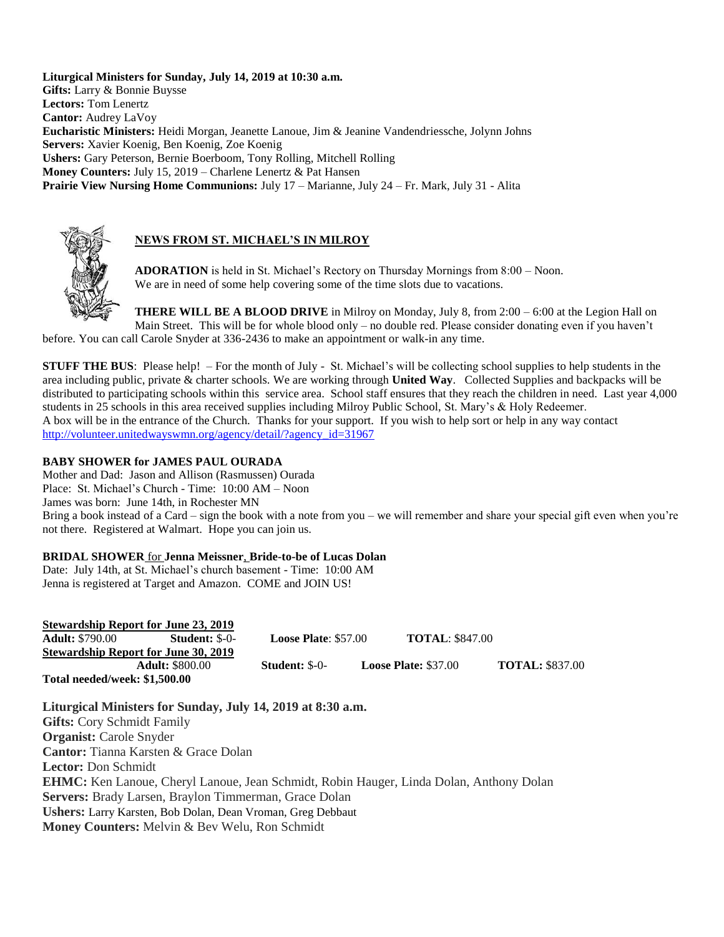**Liturgical Ministers for Sunday, July 14, 2019 at 10:30 a.m. Gifts:** Larry & Bonnie Buysse **Lectors:** Tom Lenertz **Cantor:** Audrey LaVoy **Eucharistic Ministers:** Heidi Morgan, Jeanette Lanoue, Jim & Jeanine Vandendriessche, Jolynn Johns **Servers:** Xavier Koenig, Ben Koenig, Zoe Koenig **Ushers:** Gary Peterson, Bernie Boerboom, Tony Rolling, Mitchell Rolling **Money Counters:** July 15, 2019 – Charlene Lenertz & Pat Hansen **Prairie View Nursing Home Communions:** July 17 – Marianne, July 24 – Fr. Mark, July 31 - Alita



# **NEWS FROM ST. MICHAEL'S IN MILROY**

**ADORATION** is held in St. Michael's Rectory on Thursday Mornings from 8:00 – Noon. We are in need of some help covering some of the time slots due to vacations.

**THERE WILL BE A BLOOD DRIVE** in Milroy on Monday, July 8, from 2:00 – 6:00 at the Legion Hall on Main Street. This will be for whole blood only – no double red. Please consider donating even if you haven't before. You can call Carole Snyder at 336-2436 to make an appointment or walk-in any time.

**STUFF THE BUS:** Please help! – For the month of July - St. Michael's will be collecting school supplies to help students in the area including public, private & charter schools. We are working through **United Way**. Collected Supplies and backpacks will be distributed to participating schools within this service area. School staff ensures that they reach the children in need. Last year 4,000 students in 25 schools in this area received supplies including Milroy Public School, St. Mary's & Holy Redeemer. A box will be in the entrance of the Church. Thanks for your support. If you wish to help sort or help in any way contact [http://volunteer.unitedwayswmn.org/agency/detail/?agency\\_id=31967](http://volunteer.unitedwayswmn.org/agency/detail/?agency_id=31967)

# **BABY SHOWER for JAMES PAUL OURADA**

Mother and Dad: Jason and Allison (Rasmussen) Ourada Place: St. Michael's Church - Time: 10:00 AM – Noon James was born: June 14th, in Rochester MN Bring a book instead of a Card – sign the book with a note from you – we will remember and share your special gift even when you're not there. Registered at Walmart. Hope you can join us.

### **BRIDAL SHOWER** for **Jenna Meissner**, **Bride-to-be of Lucas Dolan**

Date: July 14th, at St. Michael's church basement - Time: 10:00 AM Jenna is registered at Target and Amazon. COME and JOIN US!

|                               | <b>Stewardship Report for June 23, 2019</b> |                              |                             |                        |
|-------------------------------|---------------------------------------------|------------------------------|-----------------------------|------------------------|
| <b>Adult:</b> \$790.00        | <b>Student: \$-0-</b>                       | <b>Loose Plate:</b> $$57.00$ | <b>TOTAL: \$847.00</b>      |                        |
|                               | <b>Stewardship Report for June 30, 2019</b> |                              |                             |                        |
|                               | <b>Adult:</b> \$800.00                      | <b>Student: \$-0-</b>        | <b>Loose Plate: \$37.00</b> | <b>TOTAL: \$837.00</b> |
| Total needed/week: \$1,500.00 |                                             |                              |                             |                        |

**Liturgical Ministers for Sunday, July 14, 2019 at 8:30 a.m. Gifts:** Cory Schmidt Family **Organist:** Carole Snyder **Cantor:** Tianna Karsten & Grace Dolan **Lector:** Don Schmidt **EHMC:** Ken Lanoue, Cheryl Lanoue, Jean Schmidt, Robin Hauger, Linda Dolan, Anthony Dolan **Servers:** Brady Larsen, Braylon Timmerman, Grace Dolan **Ushers:** Larry Karsten, Bob Dolan, Dean Vroman, Greg Debbaut **Money Counters:** Melvin & Bev Welu, Ron Schmidt